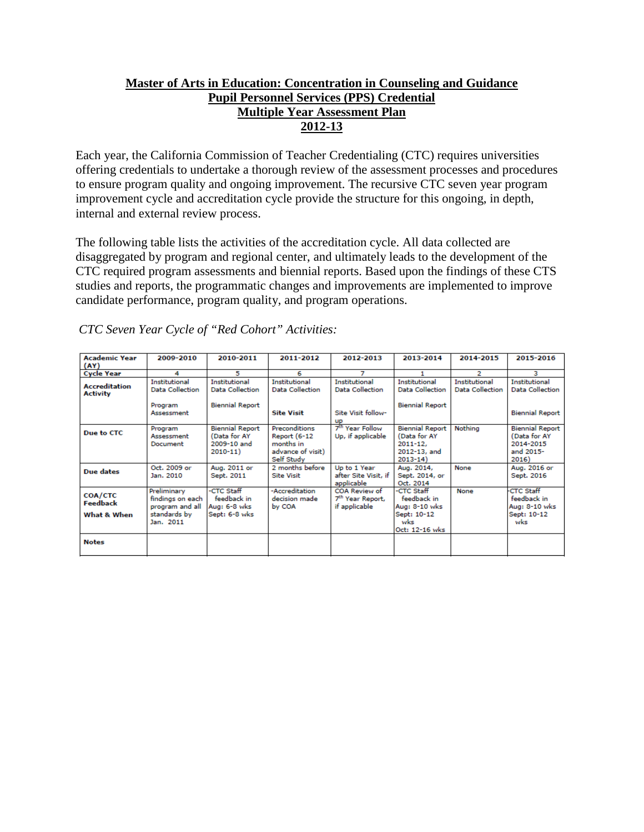# **Master of Arts in Education: Concentration in Counseling and Guidance Pupil Personnel Services (PPS) Credential Multiple Year Assessment Plan 2012-13**

Each year, the California Commission of Teacher Credentialing (CTC) requires universities offering credentials to undertake a thorough review of the assessment processes and procedures to ensure program quality and ongoing improvement. The recursive CTC seven year program improvement cycle and accreditation cycle provide the structure for this ongoing, in depth, internal and external review process.

The following table lists the activities of the accreditation cycle. All data collected are disaggregated by program and regional center, and ultimately leads to the development of the CTC required program assessments and biennial reports. Based upon the findings of these CTS studies and reports, the programmatic changes and improvements are implemented to improve candidate performance, program quality, and program operations.

| <b>Academic Year</b>                    | 2009-2010                                                                       | 2010-2011                                                            | 2011-2012                                                                     | 2012-2013                                                      | 2013-2014                                                                            | 2014-2015                                      | 2015-2016                                                                 |
|-----------------------------------------|---------------------------------------------------------------------------------|----------------------------------------------------------------------|-------------------------------------------------------------------------------|----------------------------------------------------------------|--------------------------------------------------------------------------------------|------------------------------------------------|---------------------------------------------------------------------------|
| (AY)                                    |                                                                                 |                                                                      |                                                                               |                                                                |                                                                                      |                                                |                                                                           |
| <b>Cycle Year</b>                       | 4                                                                               | 5                                                                    | 6                                                                             | 7                                                              |                                                                                      | 2                                              | з                                                                         |
| <b>Accreditation</b><br><b>Activity</b> | Institutional<br>Data Collection                                                | <b>Institutional</b><br>Data Collection                              | Institutional<br>Data Collection                                              | <b>Institutional</b><br>Data Collection                        | Institutional<br><b>Data Collection</b>                                              | <b>Institutional</b><br><b>Data Collection</b> | Institutional<br><b>Data Collection</b>                                   |
|                                         | Program<br>Assessment                                                           | <b>Biennial Report</b>                                               | <b>Site Visit</b>                                                             | Site Visit follow-<br>up                                       | <b>Biennial Report</b>                                                               |                                                | <b>Biennial Report</b>                                                    |
| Due to CTC                              | Program<br>Assessment<br>Document                                               | <b>Biennial Report</b><br>(Data for AY<br>2009-10 and<br>$2010 - 11$ | Preconditions<br>Report (6-12<br>months in<br>advance of visit)<br>Self Study | 7 <sup>th</sup> Year Follow<br>Up, if applicable               | <b>Biennial Report</b><br>(Data for AY<br>$2011 - 12$<br>2012-13, and<br>$2013 - 14$ | Nothing                                        | <b>Biennial Report</b><br>(Data for AY<br>2014-2015<br>and 2015-<br>2016) |
| Due dates                               | Oct. 2009 or<br>Jan. 2010                                                       | Aug. 2011 or<br>Sept. 2011                                           | 2 months before<br><b>Site Visit</b>                                          | Up to 1 Year<br>after Site Visit, if<br>applicable             | Aug. 2014,<br>Sept. 2014, or<br>Oct. 2014                                            | None                                           | Aug. 2016 or<br>Sept. 2016                                                |
| COA/CTC<br>Feedback<br>What & When      | Preliminary<br>findings on each<br>program and all<br>standards by<br>Jan. 2011 | -CTC Staff<br>feedback in<br>Aug: 6-8 wks<br>Sept: 6-8 wks           | -Accreditation<br>decision made<br>by COA                                     | COA Review of<br>7 <sup>th</sup> Year Report,<br>if applicable | -CTC Staff<br>feedback in<br>Aug: 8-10 wks<br>Sept: 10-12<br>wks<br>Oct: 12-16 wks   | None                                           | <b>CTC Staff</b><br>feedback in<br>Aug: 8-10 wks<br>Sept: 10-12<br>wks    |
| <b>Notes</b>                            |                                                                                 |                                                                      |                                                                               |                                                                |                                                                                      |                                                |                                                                           |

*CTC Seven Year Cycle of "Red Cohort" Activities:*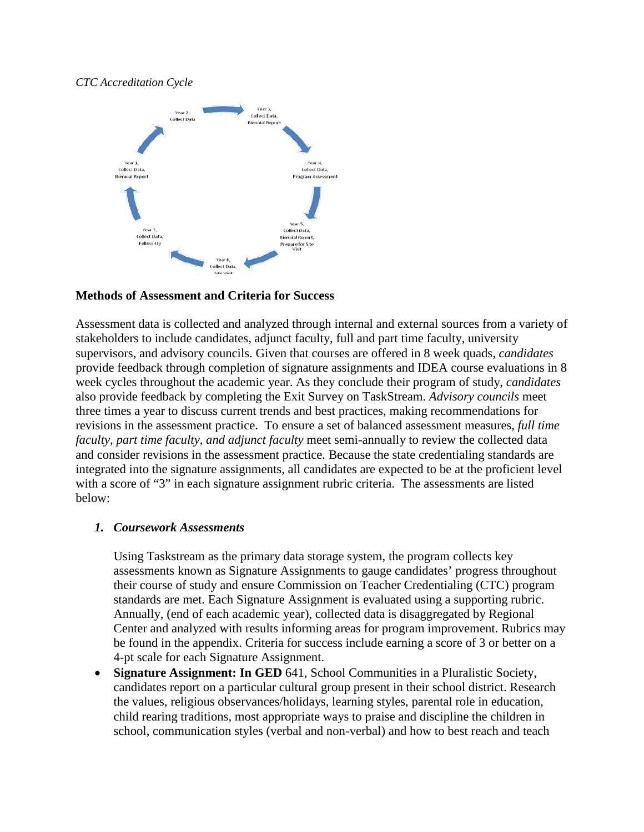### *CTC Accreditation Cycle*



### **Methods of Assessment and Criteria for Success**

Assessment data is collected and analyzed through internal and external sources from a variety of stakeholders to include candidates, adjunct faculty, full and part time faculty, university supervisors, and advisory councils. Given that courses are offered in 8 week quads, *candidates* provide feedback through completion of signature assignments and IDEA course evaluations in 8 week cycles throughout the academic year. As they conclude their program of study, *candidates* also provide feedback by completing the Exit Survey on TaskStream. *Advisory councils* meet three times a year to discuss current trends and best practices, making recommendations for revisions in the assessment practice. To ensure a set of balanced assessment measures, *full time faculty, part time faculty, and adjunct faculty* meet semi-annually to review the collected data and consider revisions in the assessment practice. Because the state credentialing standards are integrated into the signature assignments, all candidates are expected to be at the proficient level with a score of "3" in each signature assignment rubric criteria. The assessments are listed below:

### *1. Coursework Assessments*

Using Taskstream as the primary data storage system, the program collects key assessments known as Signature Assignments to gauge candidates' progress throughout their course of study and ensure Commission on Teacher Credentialing (CTC) program standards are met. Each Signature Assignment is evaluated using a supporting rubric. Annually, (end of each academic year), collected data is disaggregated by Regional Center and analyzed with results informing areas for program improvement. Rubrics may be found in the appendix. Criteria for success include earning a score of 3 or better on a 4-pt scale for each Signature Assignment.

**Signature Assignment: In GED** 641, School Communities in a Pluralistic Society, candidates report on a particular cultural group present in their school district. Research the values, religious observances/holidays, learning styles, parental role in education, child rearing traditions, most appropriate ways to praise and discipline the children in school, communication styles (verbal and non-verbal) and how to best reach and teach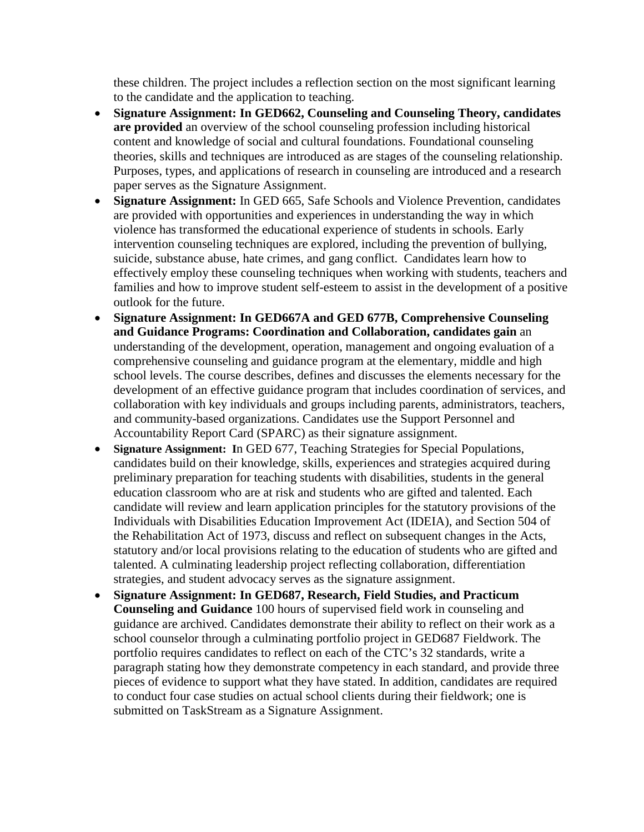these children. The project includes a reflection section on the most significant learning to the candidate and the application to teaching.

- **Signature Assignment: In GED662, Counseling and Counseling Theory, candidates are provided** an overview of the school counseling profession including historical content and knowledge of social and cultural foundations. Foundational counseling theories, skills and techniques are introduced as are stages of the counseling relationship. Purposes, types, and applications of research in counseling are introduced and a research paper serves as the Signature Assignment.
- **Signature Assignment:** In GED 665, Safe Schools and Violence Prevention, candidates are provided with opportunities and experiences in understanding the way in which violence has transformed the educational experience of students in schools. Early intervention counseling techniques are explored, including the prevention of bullying, suicide, substance abuse, hate crimes, and gang conflict. Candidates learn how to effectively employ these counseling techniques when working with students, teachers and families and how to improve student self-esteem to assist in the development of a positive outlook for the future.
- **Signature Assignment: In GED667A and GED 677B, Comprehensive Counseling and Guidance Programs: Coordination and Collaboration, candidates gain** an understanding of the development, operation, management and ongoing evaluation of a comprehensive counseling and guidance program at the elementary, middle and high school levels. The course describes, defines and discusses the elements necessary for the development of an effective guidance program that includes coordination of services, and collaboration with key individuals and groups including parents, administrators, teachers, and community-based organizations. Candidates use the Support Personnel and Accountability Report Card (SPARC) as their signature assignment.
- **Signature Assignment: I**n GED 677, Teaching Strategies for Special Populations, candidates build on their knowledge, skills, experiences and strategies acquired during preliminary preparation for teaching students with disabilities, students in the general education classroom who are at risk and students who are gifted and talented. Each candidate will review and learn application principles for the statutory provisions of the Individuals with Disabilities Education Improvement Act (IDEIA), and Section 504 of the Rehabilitation Act of 1973, discuss and reflect on subsequent changes in the Acts, statutory and/or local provisions relating to the education of students who are gifted and talented. A culminating leadership project reflecting collaboration, differentiation strategies, and student advocacy serves as the signature assignment.
- **Signature Assignment: In GED687, Research, Field Studies, and Practicum Counseling and Guidance** 100 hours of supervised field work in counseling and guidance are archived. Candidates demonstrate their ability to reflect on their work as a school counselor through a culminating portfolio project in GED687 Fieldwork. The portfolio requires candidates to reflect on each of the CTC's 32 standards, write a paragraph stating how they demonstrate competency in each standard, and provide three pieces of evidence to support what they have stated. In addition, candidates are required to conduct four case studies on actual school clients during their fieldwork; one is submitted on TaskStream as a Signature Assignment.